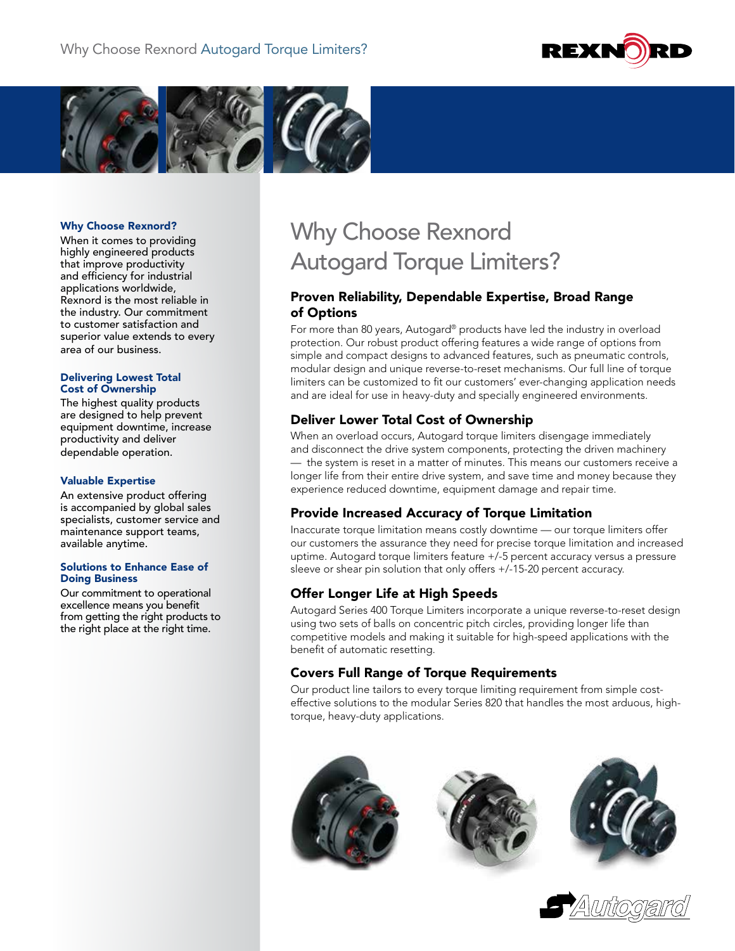



#### Why Choose Rexnord?

When it comes to providing highly engineered products that improve productivity and efficiency for industrial applications worldwide, Rexnord is the most reliable in the industry. Our commitment to customer satisfaction and superior value extends to every area of our business.

#### Delivering Lowest Total Cost of Ownership

The highest quality products are designed to help prevent equipment downtime, increase productivity and deliver dependable operation.

#### Valuable Expertise

An extensive product offering is accompanied by global sales specialists, customer service and maintenance support teams, available anytime.

#### Solutions to Enhance Ease of Doing Business

Our commitment to operational excellence means you benefit from getting the right products to the right place at the right time.

# Why Choose Rexnord Autogard Torque Limiters?

### Proven Reliability, Dependable Expertise, Broad Range of Options

For more than 80 years, Autogard® products have led the industry in overload protection. Our robust product offering features a wide range of options from simple and compact designs to advanced features, such as pneumatic controls, modular design and unique reverse-to-reset mechanisms. Our full line of torque limiters can be customized to fit our customers' ever-changing application needs and are ideal for use in heavy-duty and specially engineered environments.

## Deliver Lower Total Cost of Ownership

When an overload occurs, Autogard torque limiters disengage immediately and disconnect the drive system components, protecting the driven machinery — the system is reset in a matter of minutes. This means our customers receive a longer life from their entire drive system, and save time and money because they experience reduced downtime, equipment damage and repair time.

### Provide Increased Accuracy of Torque Limitation

Inaccurate torque limitation means costly downtime — our torque limiters offer our customers the assurance they need for precise torque limitation and increased uptime. Autogard torque limiters feature +/-5 percent accuracy versus a pressure sleeve or shear pin solution that only offers +/-15-20 percent accuracy.

## Offer Longer Life at High Speeds

Autogard Series 400 Torque Limiters incorporate a unique reverse-to-reset design using two sets of balls on concentric pitch circles, providing longer life than competitive models and making it suitable for high-speed applications with the benefit of automatic resetting.

## Covers Full Range of Torque Requirements

Our product line tailors to every torque limiting requirement from simple costeffective solutions to the modular Series 820 that handles the most arduous, hightorque, heavy-duty applications.